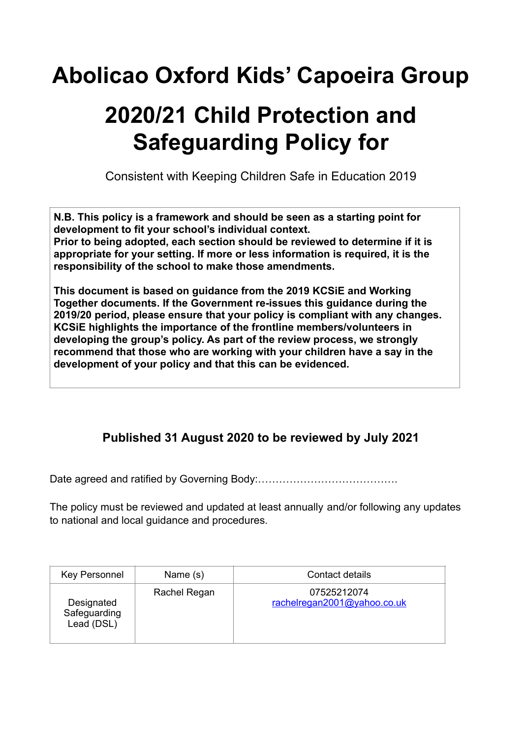## **Abolicao Oxford Kids' Capoeira Group**

# **2020/21 Child Protection and Safeguarding Policy for**

Consistent with Keeping Children Safe in Education 2019

**N.B. This policy is a framework and should be seen as a starting point for development to fit your school's individual context.** 

**Prior to being adopted, each section should be reviewed to determine if it is appropriate for your setting. If more or less information is required, it is the responsibility of the school to make those amendments.** 

**This document is based on guidance from the 2019 KCSiE and Working Together documents. If the Government re-issues this guidance during the 2019/20 period, please ensure that your policy is compliant with any changes. KCSiE highlights the importance of the frontline members/volunteers in developing the group's policy. As part of the review process, we strongly recommend that those who are working with your children have a say in the development of your policy and that this can be evidenced.** 

## **Published 31 August 2020 to be reviewed by July 2021**

Date agreed and ratified by Governing Body:………………………………….

The policy must be reviewed and updated at least annually and/or following any updates to national and local guidance and procedures.

| <b>Key Personnel</b>                     | Name (s)     | Contact details                            |
|------------------------------------------|--------------|--------------------------------------------|
| Designated<br>Safeguarding<br>Lead (DSL) | Rachel Regan | 07525212074<br>rachelregan2001@yahoo.co.uk |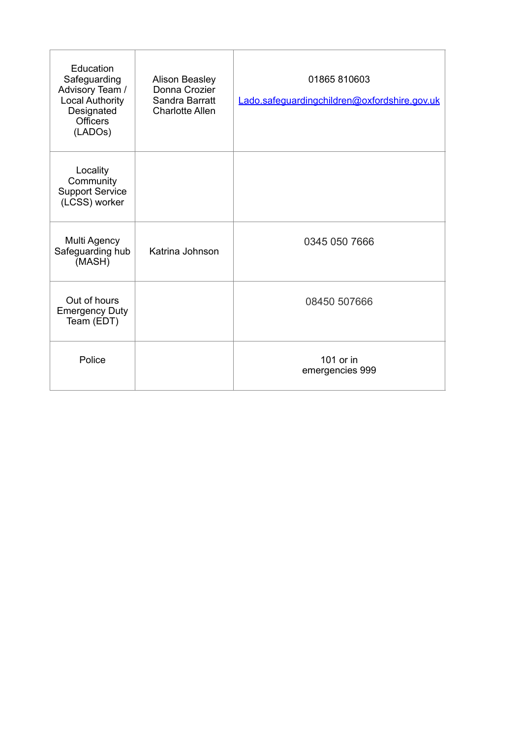| Education<br>Safeguarding<br>Advisory Team /<br><b>Local Authority</b><br>Designated<br><b>Officers</b><br>(LADOs) | <b>Alison Beasley</b><br>Donna Crozier<br>Sandra Barratt<br><b>Charlotte Allen</b> | 01865 810603<br>Lado.safeguardingchildren@oxfordshire.gov.uk |
|--------------------------------------------------------------------------------------------------------------------|------------------------------------------------------------------------------------|--------------------------------------------------------------|
| Locality<br>Community<br><b>Support Service</b><br>(LCSS) worker                                                   |                                                                                    |                                                              |
| Multi Agency<br>Safeguarding hub<br>(MASH)                                                                         | Katrina Johnson                                                                    | 0345 050 7666                                                |
| Out of hours<br><b>Emergency Duty</b><br>Team (EDT)                                                                |                                                                                    | 08450 507666                                                 |
| Police                                                                                                             |                                                                                    | 101 or in<br>emergencies 999                                 |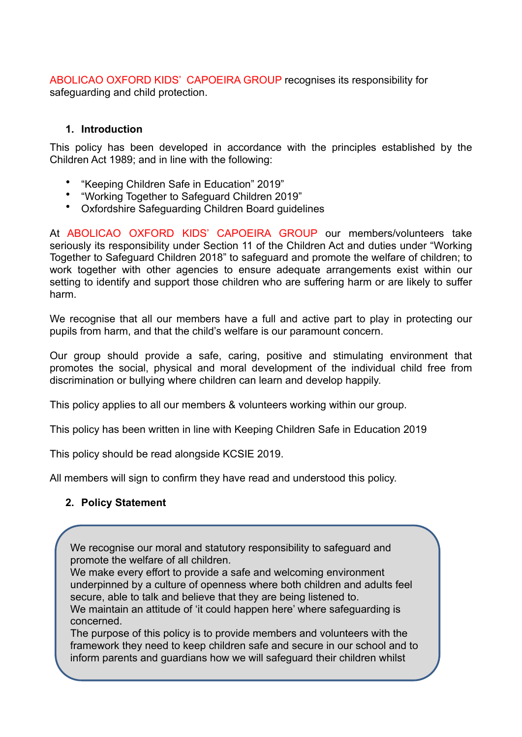ABOLICAO OXFORD KIDS' CAPOEIRA GROUP recognises its responsibility for safeguarding and child protection.

#### **1. Introduction**

This policy has been developed in accordance with the principles established by the Children Act 1989; and in line with the following:

- "Keeping Children Safe in Education" 2019"
- "Working Together to Safeguard Children 2019"
- Oxfordshire Safeguarding Children Board guidelines

At ABOLICAO OXFORD KIDS' CAPOEIRA GROUP our members/volunteers take seriously its responsibility under Section 11 of the Children Act and duties under "Working Together to Safeguard Children 2018" to safeguard and promote the welfare of children; to work together with other agencies to ensure adequate arrangements exist within our setting to identify and support those children who are suffering harm or are likely to suffer harm.

We recognise that all our members have a full and active part to play in protecting our pupils from harm, and that the child's welfare is our paramount concern.

Our group should provide a safe, caring, positive and stimulating environment that promotes the social, physical and moral development of the individual child free from discrimination or bullying where children can learn and develop happily.

This policy applies to all our members & volunteers working within our group.

This policy has been written in line with Keeping Children Safe in Education 2019

This policy should be read alongside KCSIE 2019.

All members will sign to confirm they have read and understood this policy.

## **2. Policy Statement**

We recognise our moral and statutory responsibility to safeguard and promote the welfare of all children.

We make every effort to provide a safe and welcoming environment underpinned by a culture of openness where both children and adults feel secure, able to talk and believe that they are being listened to. We maintain an attitude of 'it could happen here' where safeguarding is concerned.

The purpose of this policy is to provide members and volunteers with the framework they need to keep children safe and secure in our school and to inform parents and guardians how we will safeguard their children whilst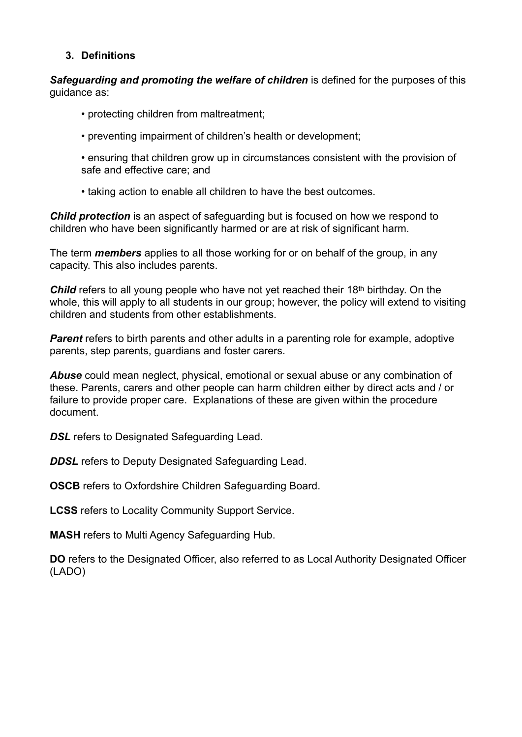#### **3. Definitions**

*Safeguarding and promoting the welfare of children* is defined for the purposes of this guidance as:

- protecting children from maltreatment;
- preventing impairment of children's health or development;
- ensuring that children grow up in circumstances consistent with the provision of safe and effective care; and
- taking action to enable all children to have the best outcomes.

*Child protection* is an aspect of safeguarding but is focused on how we respond to children who have been significantly harmed or are at risk of significant harm.

The term *members* applies to all those working for or on behalf of the group, in any capacity. This also includes parents.

*Child* refers to all young people who have not yet reached their 18<sup>th</sup> birthday. On the whole, this will apply to all students in our group; however, the policy will extend to visiting children and students from other establishments.

**Parent** refers to birth parents and other adults in a parenting role for example, adoptive parents, step parents, guardians and foster carers.

*Abuse* could mean neglect, physical, emotional or sexual abuse or any combination of these. Parents, carers and other people can harm children either by direct acts and / or failure to provide proper care. Explanations of these are given within the procedure document.

**DSL** refers to Designated Safeguarding Lead.

**DDSL** refers to Deputy Designated Safeguarding Lead.

**OSCB** refers to Oxfordshire Children Safeguarding Board.

**LCSS** refers to Locality Community Support Service.

**MASH** refers to Multi Agency Safeguarding Hub.

**DO** refers to the Designated Officer, also referred to as Local Authority Designated Officer (LADO)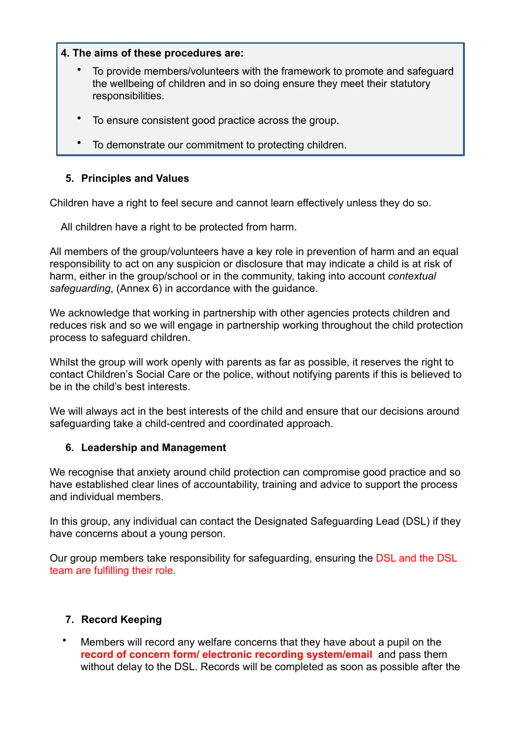#### **4. The aims of these procedures are:**

- To provide members/volunteers with the framework to promote and safeguard the wellbeing of children and in so doing ensure they meet their statutory responsibilities.
- To ensure consistent good practice across the group.
- To demonstrate our commitment to protecting children.

#### **5. Principles and Values**

Children have a right to feel secure and cannot learn effectively unless they do so.

All children have a right to be protected from harm.

All members of the group/volunteers have a key role in prevention of harm and an equal responsibility to act on any suspicion or disclosure that may indicate a child is at risk of harm, either in the group/school or in the community, taking into account *contextual safeguarding*, (Annex 6) in accordance with the guidance.

We acknowledge that working in partnership with other agencies protects children and reduces risk and so we will engage in partnership working throughout the child protection process to safeguard children.

Whilst the group will work openly with parents as far as possible, it reserves the right to contact Children's Social Care or the police, without notifying parents if this is believed to be in the child's best interests.

We will always act in the best interests of the child and ensure that our decisions around safeguarding take a child-centred and coordinated approach.

#### **6. Leadership and Management**

We recognise that anxiety around child protection can compromise good practice and so have established clear lines of accountability, training and advice to support the process and individual members.

In this group, any individual can contact the Designated Safeguarding Lead (DSL) if they have concerns about a young person.

Our group members take responsibility for safeguarding, ensuring the DSL and the DSL team are fulfilling their role.

## **7. Record Keeping**

• Members will record any welfare concerns that they have about a pupil on the **record of concern form/ electronic recording system/email** and pass them without delay to the DSL. Records will be completed as soon as possible after the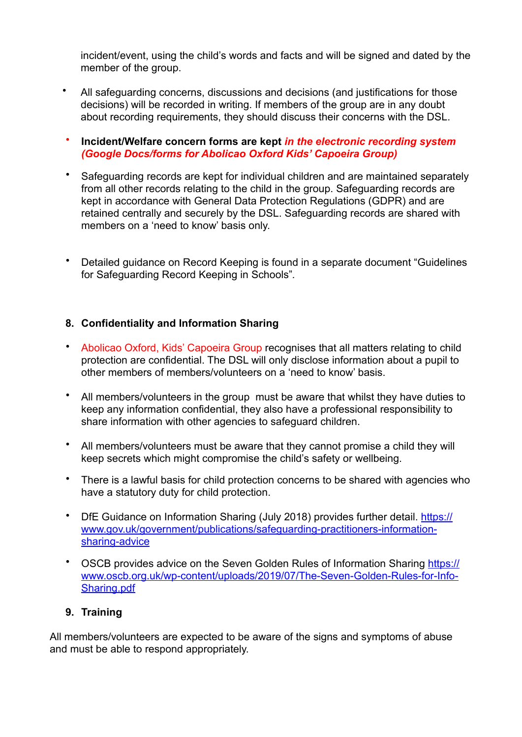incident/event, using the child's words and facts and will be signed and dated by the member of the group.

- All safeguarding concerns, discussions and decisions (and justifications for those decisions) will be recorded in writing. If members of the group are in any doubt about recording requirements, they should discuss their concerns with the DSL.
- **Incident/Welfare concern forms are kept** *in the electronic recording system (Google Docs/forms for Abolicao Oxford Kids' Capoeira Group)*
- Safeguarding records are kept for individual children and are maintained separately from all other records relating to the child in the group. Safeguarding records are kept in accordance with General Data Protection Regulations (GDPR) and are retained centrally and securely by the DSL. Safeguarding records are shared with members on a 'need to know' basis only.
- Detailed guidance on Record Keeping is found in a separate document "Guidelines for Safeguarding Record Keeping in Schools"*.*

## **8. Confidentiality and Information Sharing**

- Abolicao Oxford, Kids' Capoeira Group recognises that all matters relating to child protection are confidential. The DSL will only disclose information about a pupil to other members of members/volunteers on a 'need to know' basis.
- All members/volunteers in the group must be aware that whilst they have duties to keep any information confidential, they also have a professional responsibility to share information with other agencies to safeguard children.
- All members/volunteers must be aware that they cannot promise a child they will keep secrets which might compromise the child's safety or wellbeing.
- There is a lawful basis for child protection concerns to be shared with agencies who have a statutory duty for child protection.
- [DfE Guidance on Information Sharing \(July 2018\) provides further detail. https://](https://www.gov.uk/government/publications/safeguarding-practitioners-information-sharing-advice) [www.gov.uk/government/publications/safeguarding-practitioners-information](https://www.gov.uk/government/publications/safeguarding-practitioners-information-sharing-advice)[sharing-advice](https://www.gov.uk/government/publications/safeguarding-practitioners-information-sharing-advice)
- [OSCB provides advice on the Seven Golden Rules of Information Sharing https://](https://www.oscb.org.uk/wp-content/uploads/2019/07/The-Seven-Golden-Rules-for-Info-Sharing.pdf) [www.oscb.org.uk/wp-content/uploads/2019/07/The-Seven-Golden-Rules-for-Info-](https://www.oscb.org.uk/wp-content/uploads/2019/07/The-Seven-Golden-Rules-for-Info-Sharing.pdf)[Sharing.pdf](https://www.oscb.org.uk/wp-content/uploads/2019/07/The-Seven-Golden-Rules-for-Info-Sharing.pdf)

#### **9. Training**

All members/volunteers are expected to be aware of the signs and symptoms of abuse and must be able to respond appropriately.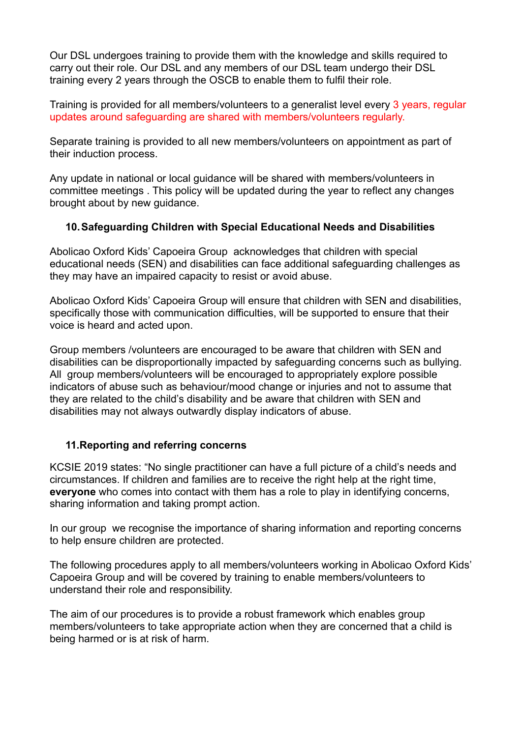Our DSL undergoes training to provide them with the knowledge and skills required to carry out their role. Our DSL and any members of our DSL team undergo their DSL training every 2 years through the OSCB to enable them to fulfil their role.

Training is provided for all members/volunteers to a generalist level every 3 years, regular updates around safeguarding are shared with members/volunteers regularly.

Separate training is provided to all new members/volunteers on appointment as part of their induction process.

Any update in national or local guidance will be shared with members/volunteers in committee meetings . This policy will be updated during the year to reflect any changes brought about by new guidance.

## **10.Safeguarding Children with Special Educational Needs and Disabilities**

Abolicao Oxford Kids' Capoeira Group acknowledges that children with special educational needs (SEN) and disabilities can face additional safeguarding challenges as they may have an impaired capacity to resist or avoid abuse.

Abolicao Oxford Kids' Capoeira Group will ensure that children with SEN and disabilities, specifically those with communication difficulties, will be supported to ensure that their voice is heard and acted upon.

Group members /volunteers are encouraged to be aware that children with SEN and disabilities can be disproportionally impacted by safeguarding concerns such as bullying. All group members/volunteers will be encouraged to appropriately explore possible indicators of abuse such as behaviour/mood change or injuries and not to assume that they are related to the child's disability and be aware that children with SEN and disabilities may not always outwardly display indicators of abuse.

## **11.Reporting and referring concerns**

KCSIE 2019 states: "No single practitioner can have a full picture of a child's needs and circumstances. If children and families are to receive the right help at the right time, **everyone** who comes into contact with them has a role to play in identifying concerns, sharing information and taking prompt action.

In our group we recognise the importance of sharing information and reporting concerns to help ensure children are protected.

The following procedures apply to all members/volunteers working in Abolicao Oxford Kids' Capoeira Group and will be covered by training to enable members/volunteers to understand their role and responsibility.

The aim of our procedures is to provide a robust framework which enables group members/volunteers to take appropriate action when they are concerned that a child is being harmed or is at risk of harm.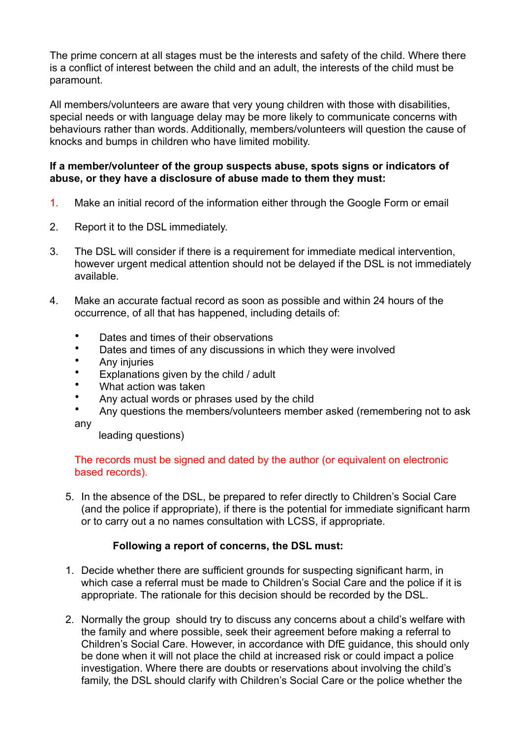The prime concern at all stages must be the interests and safety of the child. Where there is a conflict of interest between the child and an adult, the interests of the child must be paramount.

All members/volunteers are aware that very young children with those with disabilities, special needs or with language delay may be more likely to communicate concerns with behaviours rather than words. Additionally, members/volunteers will question the cause of knocks and bumps in children who have limited mobility.

#### **If a member/volunteer of the group suspects abuse, spots signs or indicators of abuse, or they have a disclosure of abuse made to them they must:**

- 1. Make an initial record of the information either through the Google Form or email
- 2. Report it to the DSL immediately.
- 3. The DSL will consider if there is a requirement for immediate medical intervention, however urgent medical attention should not be delayed if the DSL is not immediately available.
- 4. Make an accurate factual record as soon as possible and within 24 hours of the occurrence, of all that has happened, including details of:
	- Dates and times of their observations
	- Dates and times of any discussions in which they were involved
	- Any injuries
	- Explanations given by the child / adult
	- What action was taken
	- Any actual words or phrases used by the child
	- Any questions the members/volunteers member asked (remembering not to ask

any

leading questions)

#### The records must be signed and dated by the author (or equivalent on electronic based records).

5. In the absence of the DSL, be prepared to refer directly to Children's Social Care (and the police if appropriate), if there is the potential for immediate significant harm or to carry out a no names consultation with LCSS, if appropriate.

## **Following a report of concerns, the DSL must:**

- 1. Decide whether there are sufficient grounds for suspecting significant harm, in which case a referral must be made to Children's Social Care and the police if it is appropriate. The rationale for this decision should be recorded by the DSL.
- 2. Normally the group should try to discuss any concerns about a child's welfare with the family and where possible, seek their agreement before making a referral to Children's Social Care. However, in accordance with DfE guidance, this should only be done when it will not place the child at increased risk or could impact a police investigation. Where there are doubts or reservations about involving the child's family, the DSL should clarify with Children's Social Care or the police whether the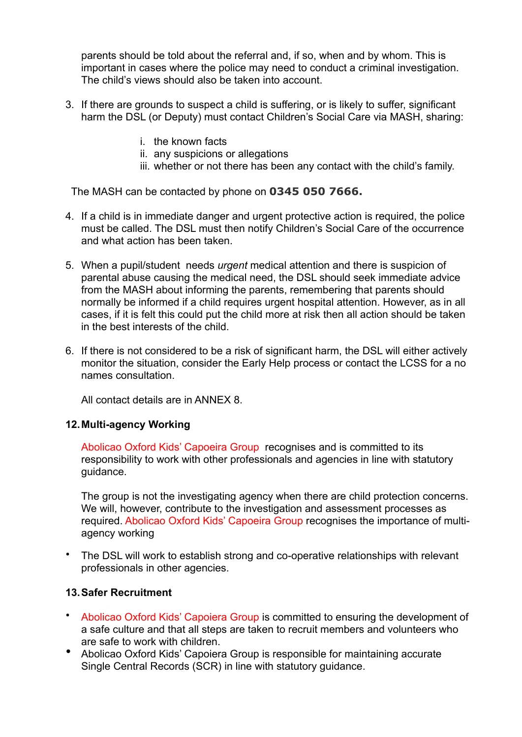parents should be told about the referral and, if so, when and by whom. This is important in cases where the police may need to conduct a criminal investigation. The child's views should also be taken into account.

- 3. If there are grounds to suspect a child is suffering, or is likely to suffer, significant harm the DSL (or Deputy) must contact Children's Social Care via MASH, sharing:
	- i. the known facts
	- ii. any suspicions or allegations
	- iii. whether or not there has been any contact with the child's family.

The MASH can be contacted by phone on **0345 050 7666.**

- 4. If a child is in immediate danger and urgent protective action is required, the police must be called. The DSL must then notify Children's Social Care of the occurrence and what action has been taken.
- 5. When a pupil/student needs *urgent* medical attention and there is suspicion of parental abuse causing the medical need, the DSL should seek immediate advice from the MASH about informing the parents, remembering that parents should normally be informed if a child requires urgent hospital attention. However, as in all cases, if it is felt this could put the child more at risk then all action should be taken in the best interests of the child.
- 6. If there is not considered to be a risk of significant harm, the DSL will either actively monitor the situation, consider the Early Help process or contact the LCSS for a no names consultation.

All contact details are in ANNEX 8.

#### **12.Multi-agency Working**

Abolicao Oxford Kids' Capoeira Group recognises and is committed to its responsibility to work with other professionals and agencies in line with statutory guidance.

The group is not the investigating agency when there are child protection concerns. We will, however, contribute to the investigation and assessment processes as required. Abolicao Oxford Kids' Capoeira Group recognises the importance of multiagency working

• The DSL will work to establish strong and co-operative relationships with relevant professionals in other agencies.

#### **13.Safer Recruitment**

- Abolicao Oxford Kids' Capoiera Group is committed to ensuring the development of a safe culture and that all steps are taken to recruit members and volunteers who are safe to work with children.
- Abolicao Oxford Kids' Capoiera Group is responsible for maintaining accurate Single Central Records (SCR) in line with statutory guidance.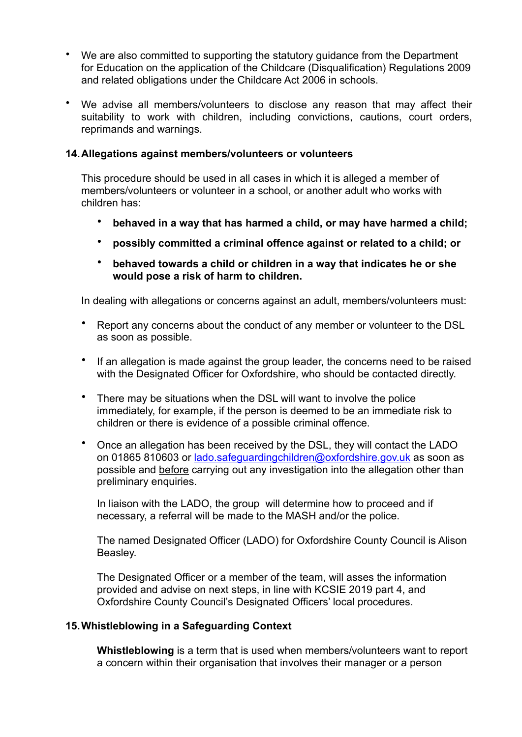- We are also committed to supporting the statutory guidance from the Department for Education on the application of the Childcare (Disqualification) Regulations 2009 and related obligations under the Childcare Act 2006 in schools.
- We advise all members/volunteers to disclose any reason that may affect their suitability to work with children, including convictions, cautions, court orders, reprimands and warnings.

#### **14.Allegations against members/volunteers or volunteers**

This procedure should be used in all cases in which it is alleged a member of members/volunteers or volunteer in a school, or another adult who works with children has:

- **behaved in a way that has harmed a child, or may have harmed a child;**
- **possibly committed a criminal offence against or related to a child; or**
- **behaved towards a child or children in a way that indicates he or she would pose a risk of harm to children.**

In dealing with allegations or concerns against an adult, members/volunteers must:

- Report any concerns about the conduct of any member or volunteer to the DSL as soon as possible.
- If an allegation is made against the group leader, the concerns need to be raised with the Designated Officer for Oxfordshire, who should be contacted directly.
- There may be situations when the DSL will want to involve the police immediately, for example, if the person is deemed to be an immediate risk to children or there is evidence of a possible criminal offence.
- Once an allegation has been received by the DSL, they will contact the LADO on 01865 810603 or [lado.safeguardingchildren@oxfordshire.gov.uk](mailto:lado.safeguardingchildren@oxfordshire.gov.uk) as soon as possible and before carrying out any investigation into the allegation other than preliminary enquiries.

In liaison with the LADO, the group will determine how to proceed and if necessary, a referral will be made to the MASH and/or the police.

The named Designated Officer (LADO) for Oxfordshire County Council is Alison Beasley.

The Designated Officer or a member of the team, will asses the information provided and advise on next steps, in line with KCSIE 2019 part 4, and Oxfordshire County Council's Designated Officers' local procedures.

#### **15.Whistleblowing in a Safeguarding Context**

**Whistleblowing** is a term that is used when members/volunteers want to report a concern within their organisation that involves their manager or a person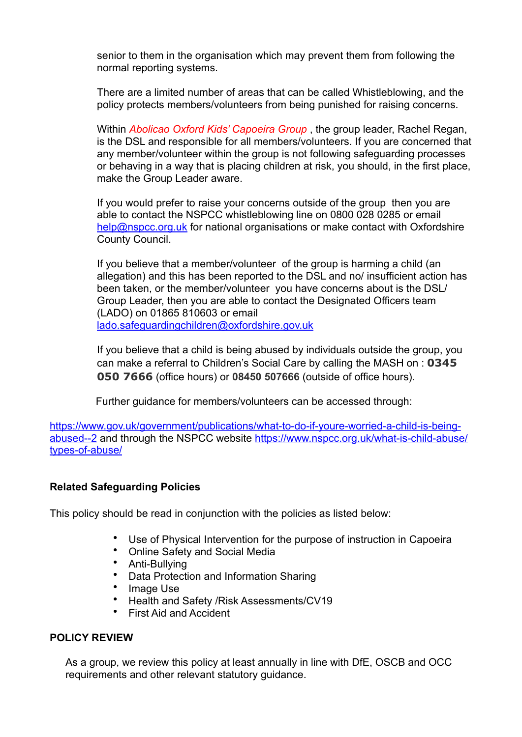senior to them in the organisation which may prevent them from following the normal reporting systems.

There are a limited number of areas that can be called Whistleblowing, and the policy protects members/volunteers from being punished for raising concerns.

Within *Abolicao Oxford Kids' Capoeira Group* , the group leader, Rachel Regan, is the DSL and responsible for all members/volunteers. If you are concerned that any member/volunteer within the group is not following safeguarding processes or behaving in a way that is placing children at risk, you should, in the first place, make the Group Leader aware.

If you would prefer to raise your concerns outside of the group then you are able to contact the NSPCC whistleblowing line on 0800 028 0285 or email [help@nspcc.org.uk](mailto:help@nspcc.org.uk) for national organisations or make contact with Oxfordshire County Council.

If you believe that a member/volunteer of the group is harming a child (an allegation) and this has been reported to the DSL and no/ insufficient action has been taken, or the member/volunteer you have concerns about is the DSL/ Group Leader, then you are able to contact the Designated Officers team (LADO) on 01865 810603 or email [lado.safeguardingchildren@oxfordshire.gov.uk](mailto:lado.safeguardingchildren@oxfordshire.gov.uk)

If you believe that a child is being abused by individuals outside the group, you can make a referral to Children's Social Care by calling the MASH on : **0345 050 7666** (office hours) or **08450 507666** (outside of office hours).

Further guidance for members/volunteers can be accessed through:

[https://www.gov.uk/government/publications/what-to-do-if-youre-worried-a-child-is-being](https://www.gov.uk/government/publications/what-to-do-if-youre-worried-a-child-is-being-abused--2)[abused--2](https://www.gov.uk/government/publications/what-to-do-if-youre-worried-a-child-is-being-abused--2) and through the NSPCC website [https://www.nspcc.org.uk/what-is-child-abuse/](https://www.nspcc.org.uk/what-is-child-abuse/types-of-abuse/) [types-of-abuse/](https://www.nspcc.org.uk/what-is-child-abuse/types-of-abuse/)

## **Related Safeguarding Policies**

This policy should be read in conjunction with the policies as listed below:

- Use of Physical Intervention for the purpose of instruction in Capoeira
- Online Safety and Social Media
- Anti-Bullying
- Data Protection and Information Sharing
- Image Use
- Health and Safety /Risk Assessments/CV19
- First Aid and Accident

#### **POLICY REVIEW**

As a group, we review this policy at least annually in line with DfE, OSCB and OCC requirements and other relevant statutory guidance.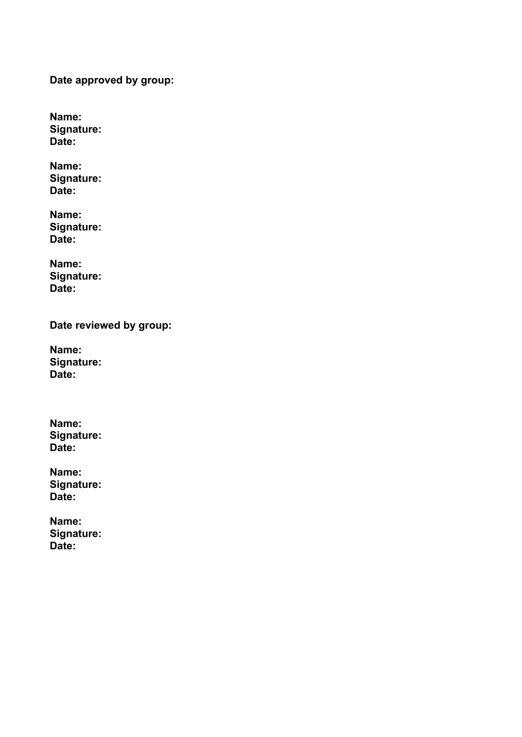**Date approved by group:** 

**Name: Signature: Date:** 

**Name: Signature: Date:** 

**Name: Signature: Date:** 

**Name: Signature: Date:** 

**Date reviewed by group:** 

**Name: Signature: Date:** 

**Name: Signature: Date:** 

**Name: Signature: Date:** 

**Name: Signature: Date:**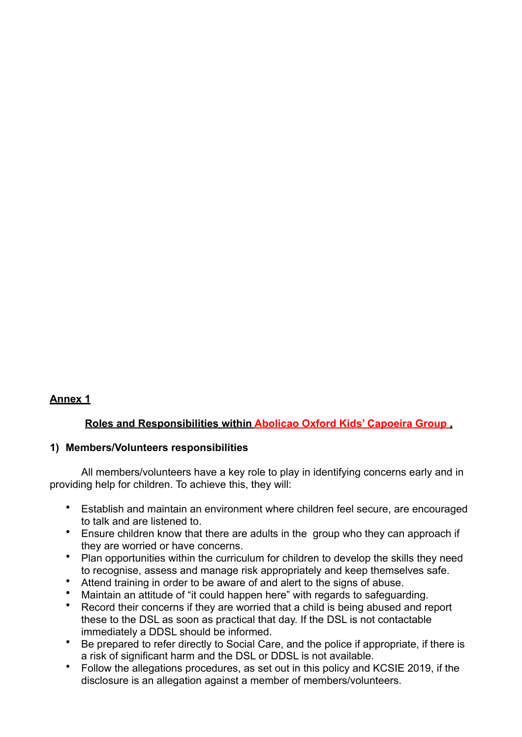## **Annex 1**

## **Roles and Responsibilities within Abolicao Oxford Kids' Capoeira Group ,**

#### **1) Members/Volunteers responsibilities**

 All members/volunteers have a key role to play in identifying concerns early and in providing help for children. To achieve this, they will:

- Establish and maintain an environment where children feel secure, are encouraged to talk and are listened to.
- Ensure children know that there are adults in the group who they can approach if they are worried or have concerns.
- Plan opportunities within the curriculum for children to develop the skills they need to recognise, assess and manage risk appropriately and keep themselves safe.
- Attend training in order to be aware of and alert to the signs of abuse.
- 
- Maintain an attitude of "it could happen here" with regards to safeguarding.<br>• Record their concerns if they are worried that a child is being abused and re Record their concerns if they are worried that a child is being abused and report these to the DSL as soon as practical that day. If the DSL is not contactable immediately a DDSL should be informed.
- Be prepared to refer directly to Social Care, and the police if appropriate, if there is a risk of significant harm and the DSL or DDSL is not available.
- Follow the allegations procedures, as set out in this policy and KCSIE 2019, if the disclosure is an allegation against a member of members/volunteers.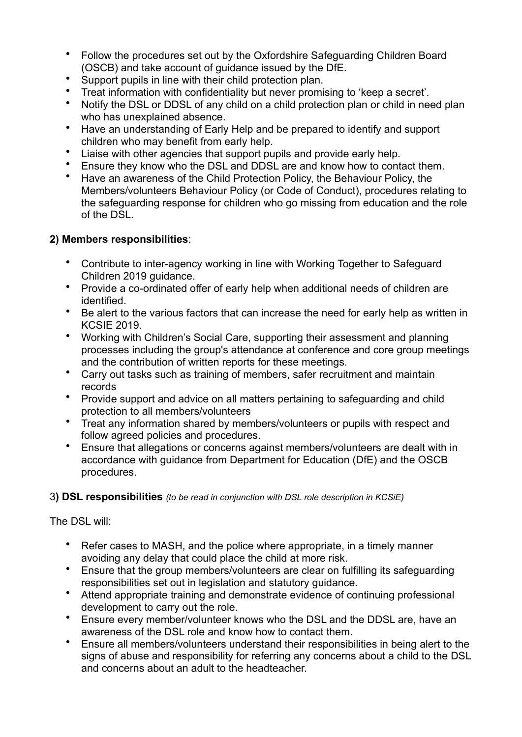- Follow the procedures set out by the Oxfordshire Safeguarding Children Board (OSCB) and take account of guidance issued by the DfE.
- Support pupils in line with their child protection plan.
- Treat information with confidentiality but never promising to 'keep a secret'.
- Notify the DSL or DDSL of any child on a child protection plan or child in need plan who has unexplained absence.
- Have an understanding of Early Help and be prepared to identify and support children who may benefit from early help.
- Liaise with other agencies that support pupils and provide early help.
- Ensure they know who the DSL and DDSL are and know how to contact them.
- Have an awareness of the Child Protection Policy, the Behaviour Policy, the Members/volunteers Behaviour Policy (or Code of Conduct), procedures relating to the safeguarding response for children who go missing from education and the role of the DSL.

## **2) Members responsibilities**:

- Contribute to inter-agency working in line with Working Together to Safeguard Children 2019 guidance.
- Provide a co-ordinated offer of early help when additional needs of children are identified.
- Be alert to the various factors that can increase the need for early help as written in KCSIE 2019.
- Working with Children's Social Care, supporting their assessment and planning processes including the group's attendance at conference and core group meetings and the contribution of written reports for these meetings.
- Carry out tasks such as training of members, safer recruitment and maintain records
- Provide support and advice on all matters pertaining to safeguarding and child protection to all members/volunteers
- Treat any information shared by members/volunteers or pupils with respect and follow agreed policies and procedures.
- Ensure that allegations or concerns against members/volunteers are dealt with in accordance with guidance from Department for Education (DfE) and the OSCB procedures.

## 3**) DSL responsibilities** *(to be read in conjunction with DSL role description in KCSiE)*

The DSL will:

- Refer cases to MASH, and the police where appropriate, in a timely manner avoiding any delay that could place the child at more risk.
- Ensure that the group members/volunteers are clear on fulfilling its safeguarding responsibilities set out in legislation and statutory guidance.
- Attend appropriate training and demonstrate evidence of continuing professional development to carry out the role.
- Ensure every member/volunteer knows who the DSL and the DDSL are, have an awareness of the DSL role and know how to contact them.
- Ensure all members/volunteers understand their responsibilities in being alert to the signs of abuse and responsibility for referring any concerns about a child to the DSL and concerns about an adult to the headteacher.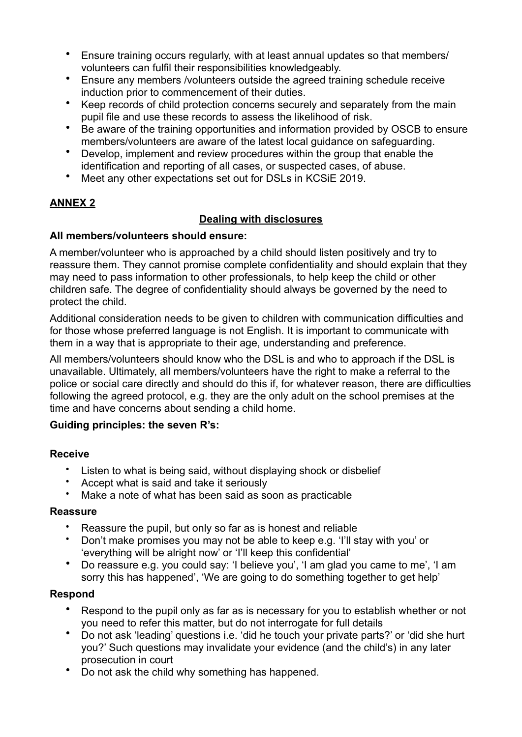- Ensure training occurs regularly, with at least annual updates so that members/ volunteers can fulfil their responsibilities knowledgeably.
- Ensure any members /volunteers outside the agreed training schedule receive induction prior to commencement of their duties.
- Keep records of child protection concerns securely and separately from the main pupil file and use these records to assess the likelihood of risk.
- Be aware of the training opportunities and information provided by OSCB to ensure members/volunteers are aware of the latest local guidance on safeguarding.
- Develop, implement and review procedures within the group that enable the identification and reporting of all cases, or suspected cases, of abuse.
- Meet any other expectations set out for DSLs in KCSiE 2019.

## **ANNEX 2**

## **Dealing with disclosures**

## **All members/volunteers should ensure:**

A member/volunteer who is approached by a child should listen positively and try to reassure them. They cannot promise complete confidentiality and should explain that they may need to pass information to other professionals, to help keep the child or other children safe. The degree of confidentiality should always be governed by the need to protect the child.

Additional consideration needs to be given to children with communication difficulties and for those whose preferred language is not English. It is important to communicate with them in a way that is appropriate to their age, understanding and preference.

All members/volunteers should know who the DSL is and who to approach if the DSL is unavailable. Ultimately, all members/volunteers have the right to make a referral to the police or social care directly and should do this if, for whatever reason, there are difficulties following the agreed protocol, e.g. they are the only adult on the school premises at the time and have concerns about sending a child home.

## **Guiding principles: the seven R's:**

## **Receive**

- Listen to what is being said, without displaying shock or disbelief
- Accept what is said and take it seriously
- Make a note of what has been said as soon as practicable

## **Reassure**

- Reassure the pupil, but only so far as is honest and reliable
- Don't make promises you may not be able to keep e.g. 'I'll stay with you' or 'everything will be alright now' or 'I'll keep this confidential'
- Do reassure e.g. you could say: 'I believe you', 'I am glad you came to me', 'I am sorry this has happened', 'We are going to do something together to get help'

## **Respond**

- Respond to the pupil only as far as is necessary for you to establish whether or not you need to refer this matter, but do not interrogate for full details
- Do not ask 'leading' questions i.e. 'did he touch your private parts?' or 'did she hurt you?' Such questions may invalidate your evidence (and the child's) in any later prosecution in court
- Do not ask the child why something has happened.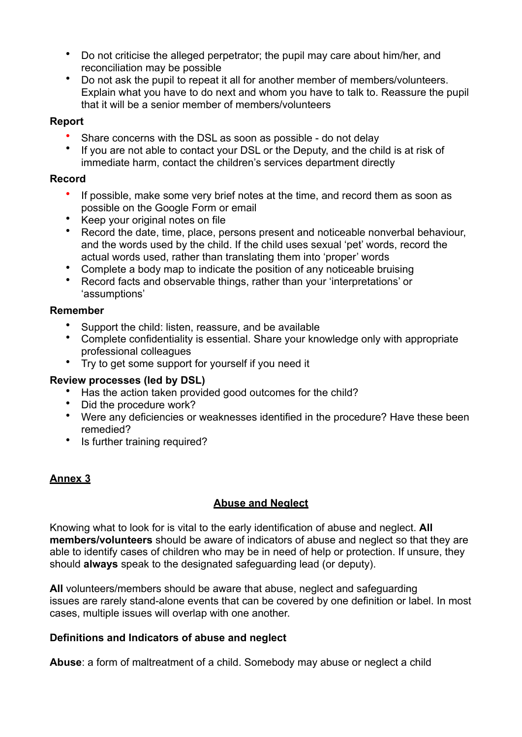- Do not criticise the alleged perpetrator; the pupil may care about him/her, and reconciliation may be possible
- Do not ask the pupil to repeat it all for another member of members/volunteers. Explain what you have to do next and whom you have to talk to. Reassure the pupil that it will be a senior member of members/volunteers

#### **Report**

- Share concerns with the DSL as soon as possible do not delay
- If you are not able to contact your DSL or the Deputy, and the child is at risk of immediate harm, contact the children's services department directly

#### **Record**

- If possible, make some very brief notes at the time, and record them as soon as possible on the Google Form or email
- Keep your original notes on file<br>• Pecord the date time place be
- Record the date, time, place, persons present and noticeable nonverbal behaviour, and the words used by the child. If the child uses sexual 'pet' words, record the actual words used, rather than translating them into 'proper' words
- Complete a body map to indicate the position of any noticeable bruising
- Record facts and observable things, rather than your 'interpretations' or 'assumptions'

#### **Remember**

- Support the child: listen, reassure, and be available
- Complete confidentiality is essential. Share your knowledge only with appropriate professional colleagues
- Try to get some support for yourself if you need it

## **Review processes (led by DSL)**

- Has the action taken provided good outcomes for the child?
- Did the procedure work?
- Were any deficiencies or weaknesses identified in the procedure? Have these been remedied?
- Is further training required?

## **Annex 3**

## **Abuse and Neglect**

Knowing what to look for is vital to the early identification of abuse and neglect. **All members/volunteers** should be aware of indicators of abuse and neglect so that they are able to identify cases of children who may be in need of help or protection. If unsure, they should **always** speak to the designated safeguarding lead (or deputy).

**All** volunteers/members should be aware that abuse, neglect and safeguarding issues are rarely stand-alone events that can be covered by one definition or label. In most cases, multiple issues will overlap with one another.

## **Definitions and Indicators of abuse and neglect**

**Abuse**: a form of maltreatment of a child. Somebody may abuse or neglect a child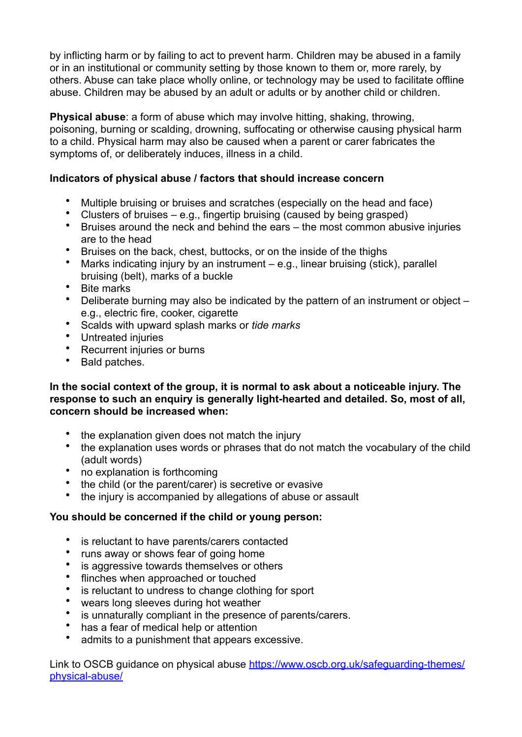by inflicting harm or by failing to act to prevent harm. Children may be abused in a family or in an institutional or community setting by those known to them or, more rarely, by others. Abuse can take place wholly online, or technology may be used to facilitate offline abuse. Children may be abused by an adult or adults or by another child or children.

**Physical abuse**: a form of abuse which may involve hitting, shaking, throwing, poisoning, burning or scalding, drowning, suffocating or otherwise causing physical harm to a child. Physical harm may also be caused when a parent or carer fabricates the symptoms of, or deliberately induces, illness in a child.

## **Indicators of physical abuse / factors that should increase concern**

- Multiple bruising or bruises and scratches (especially on the head and face)
- Clusters of bruises e.g., fingertip bruising (caused by being grasped)
- Bruises around the neck and behind the ears the most common abusive injuries are to the head
- Bruises on the back, chest, buttocks, or on the inside of the thighs
- Marks indicating injury by an instrument e.g., linear bruising (stick), parallel bruising (belt), marks of a buckle
- Bite marks
- Deliberate burning may also be indicated by the pattern of an instrument or object e.g., electric fire, cooker, cigarette
- Scalds with upward splash marks or *tide marks*
- Untreated injuries
- Recurrent injuries or burns
- Bald patches.

#### **In the social context of the group, it is normal to ask about a noticeable injury. The response to such an enquiry is generally light-hearted and detailed. So, most of all, concern should be increased when:**

- the explanation given does not match the injury
- the explanation uses words or phrases that do not match the vocabulary of the child (adult words)
- no explanation is forthcoming
- the child (or the parent/carer) is secretive or evasive<br>• the injury is accompanied by allegations of abuse or
- the injury is accompanied by allegations of abuse or assault

## **You should be concerned if the child or young person:**

- is reluctant to have parents/carers contacted
- runs away or shows fear of going home
- is aggressive towards themselves or others<br>• flinches when annroached or touched
- flinches when approached or touched
- is reluctant to undress to change clothing for sport
- wears long sleeves during hot weather
- is unnaturally compliant in the presence of parents/carers.
- has a fear of medical help or attention
- admits to a punishment that appears excessive.

Link to OSCB guidance on physical abuse [https://www.oscb.org.uk/safeguarding-themes/](https://www.oscb.org.uk/safeguarding-themes/physical-abuse/) [physical-abuse/](https://www.oscb.org.uk/safeguarding-themes/physical-abuse/)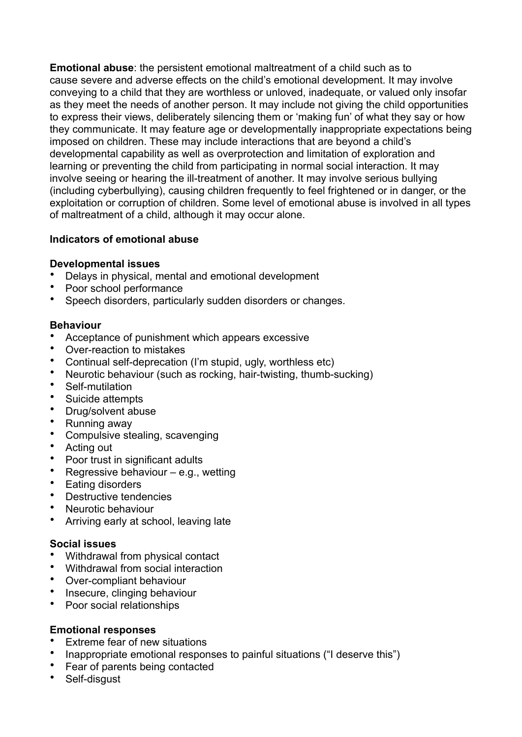**Emotional abuse**: the persistent emotional maltreatment of a child such as to cause severe and adverse effects on the child's emotional development. It may involve conveying to a child that they are worthless or unloved, inadequate, or valued only insofar as they meet the needs of another person. It may include not giving the child opportunities to express their views, deliberately silencing them or 'making fun' of what they say or how they communicate. It may feature age or developmentally inappropriate expectations being imposed on children. These may include interactions that are beyond a child's developmental capability as well as overprotection and limitation of exploration and learning or preventing the child from participating in normal social interaction. It may involve seeing or hearing the ill-treatment of another. It may involve serious bullying (including cyberbullying), causing children frequently to feel frightened or in danger, or the exploitation or corruption of children. Some level of emotional abuse is involved in all types of maltreatment of a child, although it may occur alone.

## **Indicators of emotional abuse**

## **Developmental issues**

- Delays in physical, mental and emotional development
- Poor school performance
- Speech disorders, particularly sudden disorders or changes.

#### **Behaviour**

- Acceptance of punishment which appears excessive
- Over-reaction to mistakes
- Continual self-deprecation (I'm stupid, ugly, worthless etc)
- Neurotic behaviour (such as rocking, hair-twisting, thumb-sucking)
- Self-mutilation
- Suicide attempts<br>• Drug/solvent abu
- Drug/solvent abuse
- Running away
- Compulsive stealing, scavenging
- Acting out<br>• Poor trust
- Poor trust in significant adults<br>• Regressive behaviour e.g.
- Regressive behaviour  $-$  e.g., wetting
- Eating disorders<br>• Destructive tende
- Destructive tendencies
- Neurotic behaviour
- Arriving early at school, leaving late

#### **Social issues**

- Withdrawal from physical contact
- Withdrawal from social interaction
- Over-compliant behaviour
- Insecure, clinging behaviour
- Poor social relationships

## **Emotional responses**

- Extreme fear of new situations
- Inappropriate emotional responses to painful situations ("I deserve this")
- Fear of parents being contacted
- Self-disgust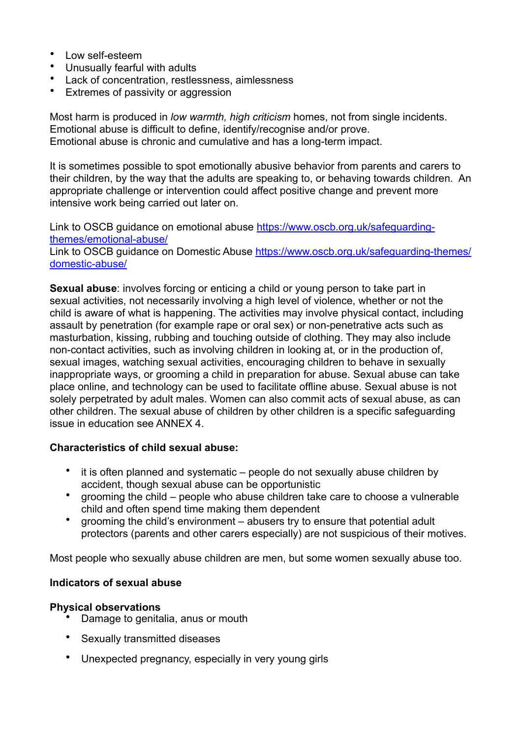- Low self-esteem
- Unusually fearful with adults
- Lack of concentration, restlessness, aimlessness
- Extremes of passivity or aggression

Most harm is produced in *low warmth, high criticism* homes, not from single incidents. Emotional abuse is difficult to define, identify/recognise and/or prove. Emotional abuse is chronic and cumulative and has a long-term impact.

It is sometimes possible to spot emotionally abusive behavior from parents and carers to their children, by the way that the adults are speaking to, or behaving towards children. An appropriate challenge or intervention could affect positive change and prevent more intensive work being carried out later on.

Link to OSCB guidance on emotional abuse [https://www.oscb.org.uk/safeguarding](https://www.oscb.org.uk/safeguarding-themes/emotional-abuse/)[themes/emotional-abuse/](https://www.oscb.org.uk/safeguarding-themes/emotional-abuse/)

Link to OSCB guidance on Domestic Abuse [https://www.oscb.org.uk/safeguarding-themes/](https://www.oscb.org.uk/safeguarding-themes/domestic-abuse/) [domestic-abuse/](https://www.oscb.org.uk/safeguarding-themes/domestic-abuse/) 

**Sexual abuse**: involves forcing or enticing a child or young person to take part in sexual activities, not necessarily involving a high level of violence, whether or not the child is aware of what is happening. The activities may involve physical contact, including assault by penetration (for example rape or oral sex) or non-penetrative acts such as masturbation, kissing, rubbing and touching outside of clothing. They may also include non-contact activities, such as involving children in looking at, or in the production of, sexual images, watching sexual activities, encouraging children to behave in sexually inappropriate ways, or grooming a child in preparation for abuse. Sexual abuse can take place online, and technology can be used to facilitate offline abuse. Sexual abuse is not solely perpetrated by adult males. Women can also commit acts of sexual abuse, as can other children. The sexual abuse of children by other children is a specific safeguarding issue in education see ANNEX 4.

#### **Characteristics of child sexual abuse:**

- it is often planned and systematic people do not sexually abuse children by accident, though sexual abuse can be opportunistic
- grooming the child people who abuse children take care to choose a vulnerable child and often spend time making them dependent
- grooming the child's environment abusers try to ensure that potential adult protectors (parents and other carers especially) are not suspicious of their motives.

Most people who sexually abuse children are men, but some women sexually abuse too.

#### **Indicators of sexual abuse**

#### **Physical observations**

- Damage to genitalia, anus or mouth
- Sexually transmitted diseases
- Unexpected pregnancy, especially in very young girls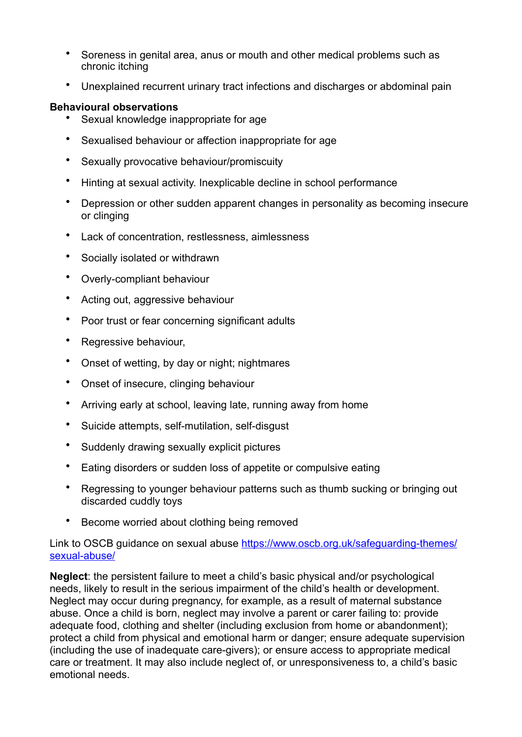- Soreness in genital area, anus or mouth and other medical problems such as chronic itching
- Unexplained recurrent urinary tract infections and discharges or abdominal pain

#### **Behavioural observations**

- Sexual knowledge inappropriate for age
- Sexualised behaviour or affection inappropriate for age
- Sexually provocative behaviour/promiscuity
- Hinting at sexual activity. Inexplicable decline in school performance
- Depression or other sudden apparent changes in personality as becoming insecure or clinging
- Lack of concentration, restlessness, aimlessness
- Socially isolated or withdrawn
- Overly-compliant behaviour
- Acting out, aggressive behaviour
- Poor trust or fear concerning significant adults
- Regressive behaviour,
- Onset of wetting, by day or night; nightmares
- Onset of insecure, clinging behaviour
- Arriving early at school, leaving late, running away from home
- Suicide attempts, self-mutilation, self-disgust
- Suddenly drawing sexually explicit pictures
- Eating disorders or sudden loss of appetite or compulsive eating
- Regressing to younger behaviour patterns such as thumb sucking or bringing out discarded cuddly toys
- Become worried about clothing being removed

#### Link to OSCB quidance on sexual abuse [https://www.oscb.org.uk/safeguarding-themes/](https://www.oscb.org.uk/safeguarding-themes/sexual-abuse/) [sexual-abuse/](https://www.oscb.org.uk/safeguarding-themes/sexual-abuse/)

**Neglect**: the persistent failure to meet a child's basic physical and/or psychological needs, likely to result in the serious impairment of the child's health or development. Neglect may occur during pregnancy, for example, as a result of maternal substance abuse. Once a child is born, neglect may involve a parent or carer failing to: provide adequate food, clothing and shelter (including exclusion from home or abandonment); protect a child from physical and emotional harm or danger; ensure adequate supervision (including the use of inadequate care-givers); or ensure access to appropriate medical care or treatment. It may also include neglect of, or unresponsiveness to, a child's basic emotional needs.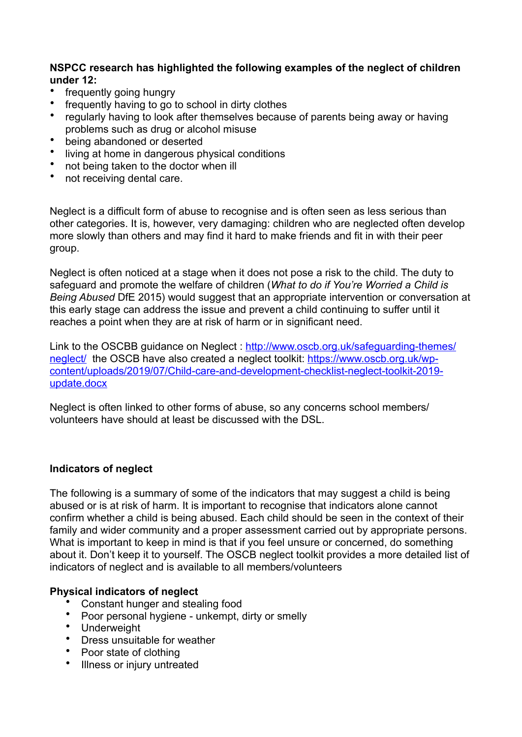**NSPCC research has highlighted the following examples of the neglect of children under 12:**

- frequently going hungry
- frequently having to go to school in dirty clothes<br>• requierly having to look after themselves because
- regularly having to look after themselves because of parents being away or having problems such as drug or alcohol misuse
- being abandoned or deserted<br>• living at home in dangerous pl
- living at home in dangerous physical conditions
- not being taken to the doctor when ill
- not receiving dental care.

Neglect is a difficult form of abuse to recognise and is often seen as less serious than other categories. It is, however, very damaging: children who are neglected often develop more slowly than others and may find it hard to make friends and fit in with their peer group.

Neglect is often noticed at a stage when it does not pose a risk to the child. The duty to safeguard and promote the welfare of children (*What to do if You're Worried a Child is Being Abused* DfE 2015) would suggest that an appropriate intervention or conversation at this early stage can address the issue and prevent a child continuing to suffer until it reaches a point when they are at risk of harm or in significant need.

Link to the OSCBB guidance on Neglect : [http://www.oscb.org.uk/safeguarding-themes/](http://www.oscb.org.uk/safeguarding-themes/neglect/) [neglect/](http://www.oscb.org.uk/safeguarding-themes/neglect/) the OSCB have also created a neglect toolkit: [https://www.oscb.org.uk/wp](https://www.oscb.org.uk/wp-content/uploads/2019/07/Child-care-and-development-checklist-neglect-toolkit-2019-update.docx)[content/uploads/2019/07/Child-care-and-development-checklist-neglect-toolkit-2019](https://www.oscb.org.uk/wp-content/uploads/2019/07/Child-care-and-development-checklist-neglect-toolkit-2019-update.docx) [update.docx](https://www.oscb.org.uk/wp-content/uploads/2019/07/Child-care-and-development-checklist-neglect-toolkit-2019-update.docx)

Neglect is often linked to other forms of abuse, so any concerns school members/ volunteers have should at least be discussed with the DSL.

## **Indicators of neglect**

The following is a summary of some of the indicators that may suggest a child is being abused or is at risk of harm. It is important to recognise that indicators alone cannot confirm whether a child is being abused. Each child should be seen in the context of their family and wider community and a proper assessment carried out by appropriate persons. What is important to keep in mind is that if you feel unsure or concerned, do something about it. Don't keep it to yourself. The OSCB neglect toolkit provides a more detailed list of indicators of neglect and is available to all members/volunteers

## **Physical indicators of neglect**

- Constant hunger and stealing food
- Poor personal hygiene unkempt, dirty or smelly
- Underweight
- Dress unsuitable for weather
- Poor state of clothing<br>• Illness or injury untrea
- Illness or injury untreated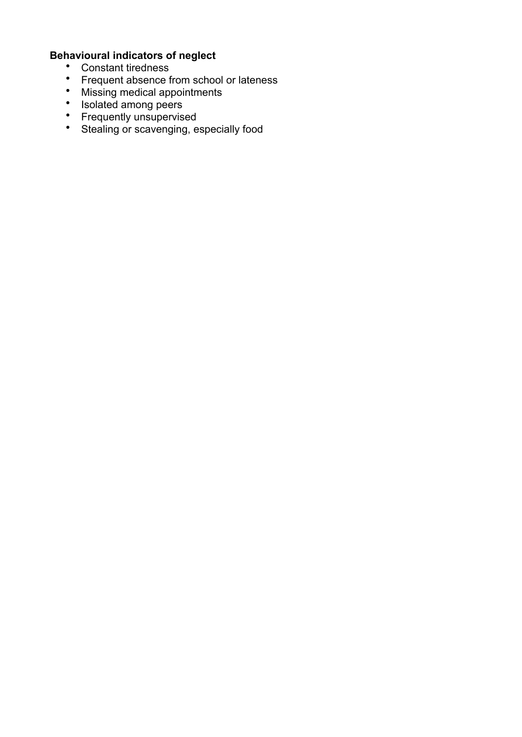## **Behavioural indicators of neglect**

- Constant tiredness
- Frequent absence from school or lateness
- Missing medical appointments
- Isolated among peers
- Frequently unsupervised
- Stealing or scavenging, especially food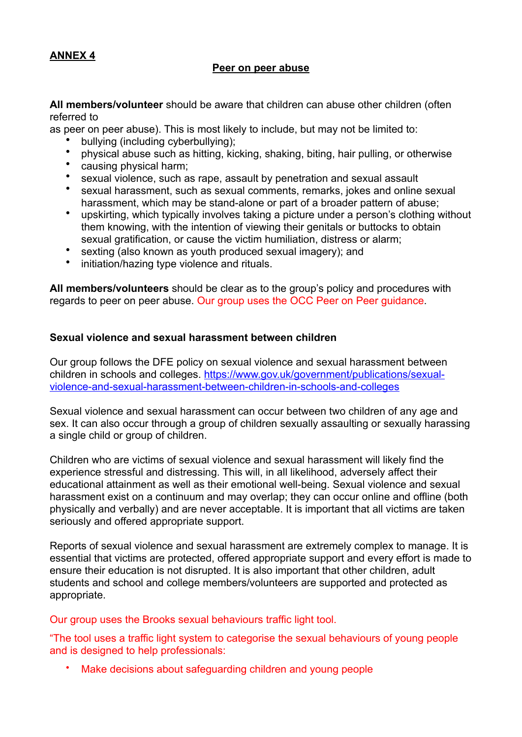#### **ANNEX 4**

#### **Peer on peer abuse**

**All members/volunteer** should be aware that children can abuse other children (often referred to

as peer on peer abuse). This is most likely to include, but may not be limited to:

- bullying (including cyberbullying);
- physical abuse such as hitting, kicking, shaking, biting, hair pulling, or otherwise
- causing physical harm;
- sexual violence, such as rape, assault by penetration and sexual assault<br>• sexual barassment, such as sexual comments, remarks, jokes and online
- sexual harassment, such as sexual comments, remarks, jokes and online sexual harassment, which may be stand-alone or part of a broader pattern of abuse;
- upskirting, which typically involves taking a picture under a person's clothing without them knowing, with the intention of viewing their genitals or buttocks to obtain sexual gratification, or cause the victim humiliation, distress or alarm;
- sexting (also known as youth produced sexual imagery); and
- initiation/hazing type violence and rituals.

**All members/volunteers** should be clear as to the group's policy and procedures with regards to peer on peer abuse. Our group uses the OCC Peer on Peer guidance.

#### **Sexual violence and sexual harassment between children**

Our group follows the DFE policy on sexual violence and sexual harassment between [children in schools and colleges. https://www.gov.uk/government/publications/sexual](https://www.gov.uk/government/publications/sexual-violence-and-sexual-harassment-between-children-in-schools-and-colleges)[violence-and-sexual-harassment-between-children-in-schools-and-colleges](https://www.gov.uk/government/publications/sexual-violence-and-sexual-harassment-between-children-in-schools-and-colleges) 

Sexual violence and sexual harassment can occur between two children of any age and sex. It can also occur through a group of children sexually assaulting or sexually harassing a single child or group of children.

Children who are victims of sexual violence and sexual harassment will likely find the experience stressful and distressing. This will, in all likelihood, adversely affect their educational attainment as well as their emotional well-being. Sexual violence and sexual harassment exist on a continuum and may overlap; they can occur online and offline (both physically and verbally) and are never acceptable. It is important that all victims are taken seriously and offered appropriate support.

Reports of sexual violence and sexual harassment are extremely complex to manage. It is essential that victims are protected, offered appropriate support and every effort is made to ensure their education is not disrupted. It is also important that other children, adult students and school and college members/volunteers are supported and protected as appropriate.

Our group uses the Brooks sexual behaviours traffic light tool.

"The tool uses a traffic light system to categorise the sexual behaviours of young people and is designed to help professionals:

• Make decisions about safeguarding children and young people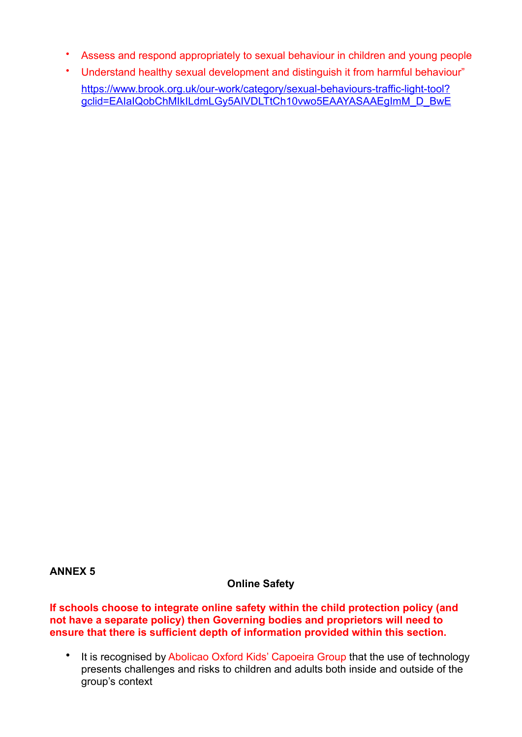- Assess and respond appropriately to sexual behaviour in children and young people
- Understand healthy sexual development and distinguish it from harmful behaviour" [https://www.brook.org.uk/our-work/category/sexual-behaviours-traffic-light-tool?](https://www.brook.org.uk/our-work/category/sexual-behaviours-traffic-light-tool?gclid=EAIaIQobChMIkILdmLGy5AIVDLTtCh10vwo5EAAYASAAEgImM_D_BwE) gclid=EAIaIQobChMIkILdmLGy5AIVDLTtCh10vwo5EAAYASAAEgImM\_D\_BwE

#### **ANNEX 5**

## **Online Safety**

**If schools choose to integrate online safety within the child protection policy (and not have a separate policy) then Governing bodies and proprietors will need to ensure that there is sufficient depth of information provided within this section.** 

• It is recognised by Abolicao Oxford Kids' Capoeira Group that the use of technology presents challenges and risks to children and adults both inside and outside of the group's context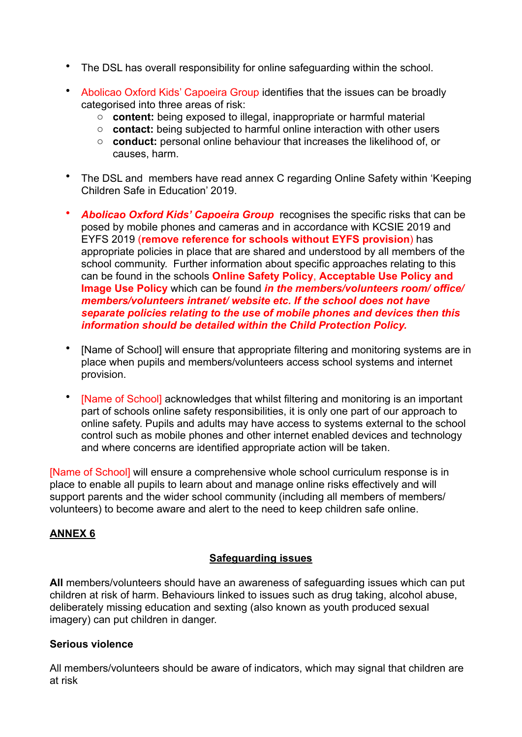- The DSL has overall responsibility for online safeguarding within the school.
- Abolicao Oxford Kids' Capoeira Group identifies that the issues can be broadly categorised into three areas of risk:
	- o **content:** being exposed to illegal, inappropriate or harmful material
	- o **contact:** being subjected to harmful online interaction with other users
	- o **conduct:** personal online behaviour that increases the likelihood of, or causes, harm.
- The DSL and members have read annex C regarding Online Safety within 'Keeping Children Safe in Education' 2019.
- *Abolicao Oxford Kids' Capoeira Group* recognises the specific risks that can be posed by mobile phones and cameras and in accordance with KCSIE 2019 and EYFS 2019 (**remove reference for schools without EYFS provision**) has appropriate policies in place that are shared and understood by all members of the school community. Further information about specific approaches relating to this can be found in the schools **Online Safety Policy**, **Acceptable Use Policy and Image Use Policy** which can be found *in the members/volunteers room/ office/ members/volunteers intranet/ website etc. If the school does not have separate policies relating to the use of mobile phones and devices then this information should be detailed within the Child Protection Policy.*
- [Name of School] will ensure that appropriate filtering and monitoring systems are in place when pupils and members/volunteers access school systems and internet provision.
- IName of Schooll acknowledges that whilst filtering and monitoring is an important part of schools online safety responsibilities, it is only one part of our approach to online safety. Pupils and adults may have access to systems external to the school control such as mobile phones and other internet enabled devices and technology and where concerns are identified appropriate action will be taken.

[Name of School] will ensure a comprehensive whole school curriculum response is in place to enable all pupils to learn about and manage online risks effectively and will support parents and the wider school community (including all members of members/ volunteers) to become aware and alert to the need to keep children safe online.

## **ANNEX 6**

## **Safeguarding issues**

**All** members/volunteers should have an awareness of safeguarding issues which can put children at risk of harm. Behaviours linked to issues such as drug taking, alcohol abuse, deliberately missing education and sexting (also known as youth produced sexual imagery) can put children in danger.

#### **Serious violence**

All members/volunteers should be aware of indicators, which may signal that children are at risk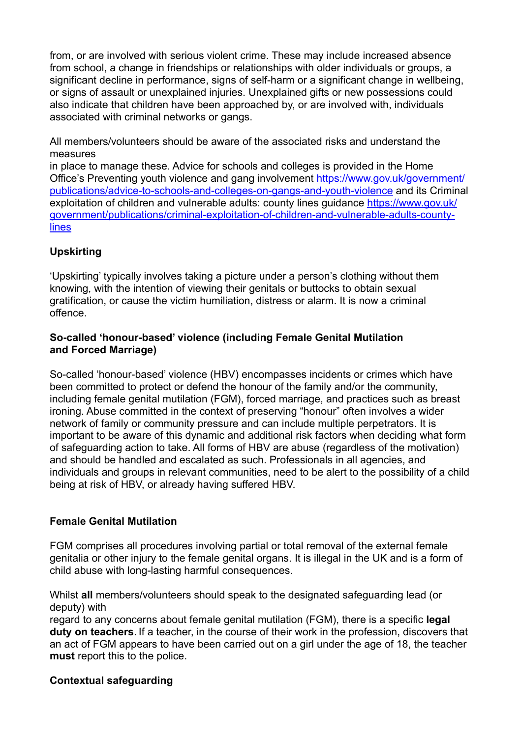from, or are involved with serious violent crime. These may include increased absence from school, a change in friendships or relationships with older individuals or groups, a significant decline in performance, signs of self-harm or a significant change in wellbeing, or signs of assault or unexplained injuries. Unexplained gifts or new possessions could also indicate that children have been approached by, or are involved with, individuals associated with criminal networks or gangs.

All members/volunteers should be aware of the associated risks and understand the measures

in place to manage these. Advice for schools and colleges is provided in the Home [Office's Preventing youth violence and gang involvement https://www.gov.uk/government/](https://www.gov.uk/government/publications/advice-to-schools-and-colleges-on-gangs-and-youth-violence) [publications/advice-to-schools-and-colleges-on-gangs-and-youth-violence](https://www.gov.uk/government/publications/advice-to-schools-and-colleges-on-gangs-and-youth-violence) and its Criminal [exploitation of children and vulnerable adults: county lines](https://www.gov.uk/government/publications/criminal-exploitation-of-children-and-vulnerable-adults-county-lines) quidance [https://www.gov.uk/](https://www.gov.uk/government/publications/criminal-exploitation-of-children-and-vulnerable-adults-county-lines) [government/publications/criminal-exploitation-of-children-and-vulnerable-adults-county](https://www.gov.uk/government/publications/criminal-exploitation-of-children-and-vulnerable-adults-county-lines)[lines](https://www.gov.uk/government/publications/criminal-exploitation-of-children-and-vulnerable-adults-county-lines)

## **Upskirting**

'Upskirting' typically involves taking a picture under a person's clothing without them knowing, with the intention of viewing their genitals or buttocks to obtain sexual gratification, or cause the victim humiliation, distress or alarm. It is now a criminal offence.

## **So-called 'honour-based' violence (including Female Genital Mutilation and Forced Marriage)**

So-called 'honour-based' violence (HBV) encompasses incidents or crimes which have been committed to protect or defend the honour of the family and/or the community, including female genital mutilation (FGM), forced marriage, and practices such as breast ironing. Abuse committed in the context of preserving "honour" often involves a wider network of family or community pressure and can include multiple perpetrators. It is important to be aware of this dynamic and additional risk factors when deciding what form of safeguarding action to take. All forms of HBV are abuse (regardless of the motivation) and should be handled and escalated as such. Professionals in all agencies, and individuals and groups in relevant communities, need to be alert to the possibility of a child being at risk of HBV, or already having suffered HBV.

## **Female Genital Mutilation**

FGM comprises all procedures involving partial or total removal of the external female genitalia or other injury to the female genital organs. It is illegal in the UK and is a form of child abuse with long-lasting harmful consequences.

Whilst **all** members/volunteers should speak to the designated safeguarding lead (or deputy) with

regard to any concerns about female genital mutilation (FGM), there is a specific **legal duty on teachers**. If a teacher, in the course of their work in the profession, discovers that an act of FGM appears to have been carried out on a girl under the age of 18, the teacher **must** report this to the police.

## **Contextual safeguarding**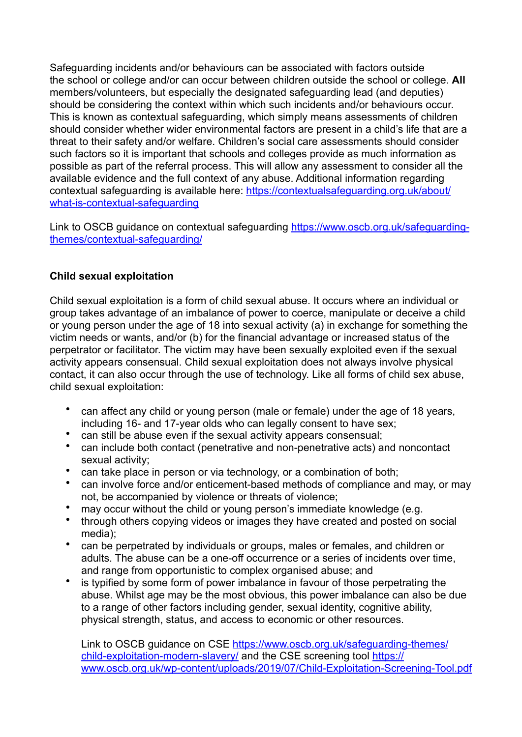Safeguarding incidents and/or behaviours can be associated with factors outside the school or college and/or can occur between children outside the school or college. **All**  members/volunteers, but especially the designated safeguarding lead (and deputies) should be considering the context within which such incidents and/or behaviours occur. This is known as contextual safeguarding, which simply means assessments of children should consider whether wider environmental factors are present in a child's life that are a threat to their safety and/or welfare. Children's social care assessments should consider such factors so it is important that schools and colleges provide as much information as possible as part of the referral process. This will allow any assessment to consider all the available evidence and the full context of any abuse. Additional information regarding contextual safeguarding is available here: [https://contextualsafeguarding.org.uk/about/](https://contextualsafeguarding.org.uk/about/what-is-contextual-safeguarding) [what-is-contextual-safeguarding](https://contextualsafeguarding.org.uk/about/what-is-contextual-safeguarding) 

Link to OSCB guidance on contextual safeguarding [https://www.oscb.org.uk/safeguarding](https://www.oscb.org.uk/safeguarding-themes/contextual-safeguarding/)[themes/contextual-safeguarding/](https://www.oscb.org.uk/safeguarding-themes/contextual-safeguarding/) 

## **Child sexual exploitation**

Child sexual exploitation is a form of child sexual abuse. It occurs where an individual or group takes advantage of an imbalance of power to coerce, manipulate or deceive a child or young person under the age of 18 into sexual activity (a) in exchange for something the victim needs or wants, and/or (b) for the financial advantage or increased status of the perpetrator or facilitator. The victim may have been sexually exploited even if the sexual activity appears consensual. Child sexual exploitation does not always involve physical contact, it can also occur through the use of technology. Like all forms of child sex abuse, child sexual exploitation:

- can affect any child or young person (male or female) under the age of 18 years, including 16- and 17-year olds who can legally consent to have sex;
- can still be abuse even if the sexual activity appears consensual;
- can include both contact (penetrative and non-penetrative acts) and noncontact sexual activity;
- can take place in person or via technology, or a combination of both;
- can involve force and/or enticement-based methods of compliance and may, or may not, be accompanied by violence or threats of violence;
- may occur without the child or young person's immediate knowledge (e.g.
- through others copying videos or images they have created and posted on social media);
- can be perpetrated by individuals or groups, males or females, and children or adults. The abuse can be a one-off occurrence or a series of incidents over time, and range from opportunistic to complex organised abuse; and
- is typified by some form of power imbalance in favour of those perpetrating the abuse. Whilst age may be the most obvious, this power imbalance can also be due to a range of other factors including gender, sexual identity, cognitive ability, physical strength, status, and access to economic or other resources.

Link to OSCB quidance on CSE https://www.oscb.org.uk/safeguarding-themes/ [child-exploitation-modern-slavery/](https://www.oscb.org.uk/safeguarding-themes/child-exploitation-modern-slavery/) and the CSE screening tool [https://](https://www.oscb.org.uk/wp-content/uploads/2019/07/Child-Exploitation-Screening-Tool.pdf) [www.oscb.org.uk/wp-content/uploads/2019/07/Child-Exploitation-Screening-Tool.pdf](https://www.oscb.org.uk/wp-content/uploads/2019/07/Child-Exploitation-Screening-Tool.pdf)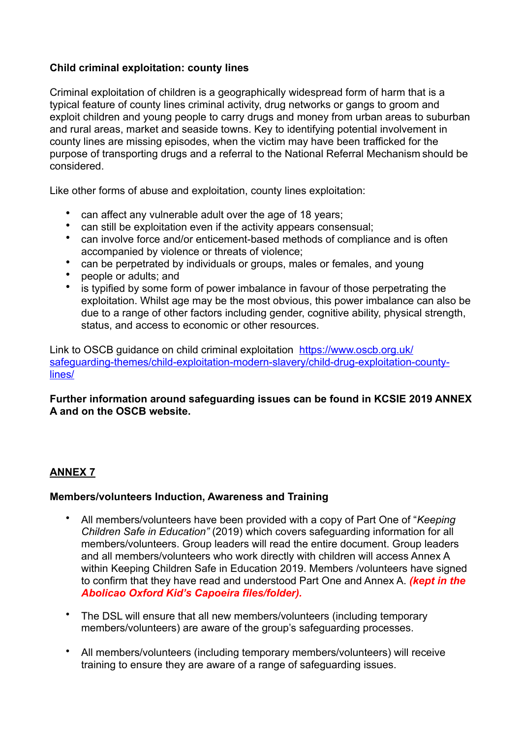## **Child criminal exploitation: county lines**

Criminal exploitation of children is a geographically widespread form of harm that is a typical feature of county lines criminal activity, drug networks or gangs to groom and exploit children and young people to carry drugs and money from urban areas to suburban and rural areas, market and seaside towns. Key to identifying potential involvement in county lines are missing episodes, when the victim may have been trafficked for the purpose of transporting drugs and a referral to the National Referral Mechanism should be considered.

Like other forms of abuse and exploitation, county lines exploitation:

- can affect any vulnerable adult over the age of 18 years;
- can still be exploitation even if the activity appears consensual;
- can involve force and/or enticement-based methods of compliance and is often accompanied by violence or threats of violence;
- can be perpetrated by individuals or groups, males or females, and young
- people or adults; and
- is typified by some form of power imbalance in favour of those perpetrating the exploitation. Whilst age may be the most obvious, this power imbalance can also be due to a range of other factors including gender, cognitive ability, physical strength, status, and access to economic or other resources.

Link to OSCB guidance on child criminal exploitation [https://www.oscb.org.uk/](https://www.oscb.org.uk/safeguarding-themes/child-exploitation-modern-slavery/child-drug-exploitation-county-lines/) [safeguarding-themes/child-exploitation-modern-slavery/child-drug-exploitation-county](https://www.oscb.org.uk/safeguarding-themes/child-exploitation-modern-slavery/child-drug-exploitation-county-lines/)[lines/](https://www.oscb.org.uk/safeguarding-themes/child-exploitation-modern-slavery/child-drug-exploitation-county-lines/) 

## **Further information around safeguarding issues can be found in KCSIE 2019 ANNEX A and on the OSCB website.**

## **ANNEX 7**

## **Members/volunteers Induction, Awareness and Training**

- All members/volunteers have been provided with a copy of Part One of "*Keeping Children Safe in Education"* (2019) which covers safeguarding information for all members/volunteers. Group leaders will read the entire document. Group leaders and all members/volunteers who work directly with children will access Annex A within Keeping Children Safe in Education 2019. Members /volunteers have signed to confirm that they have read and understood Part One and Annex A. *(kept in the Abolicao Oxford Kid's Capoeira files/folder).*
- The DSL will ensure that all new members/volunteers (including temporary members/volunteers) are aware of the group's safeguarding processes.
- All members/volunteers (including temporary members/volunteers) will receive training to ensure they are aware of a range of safeguarding issues.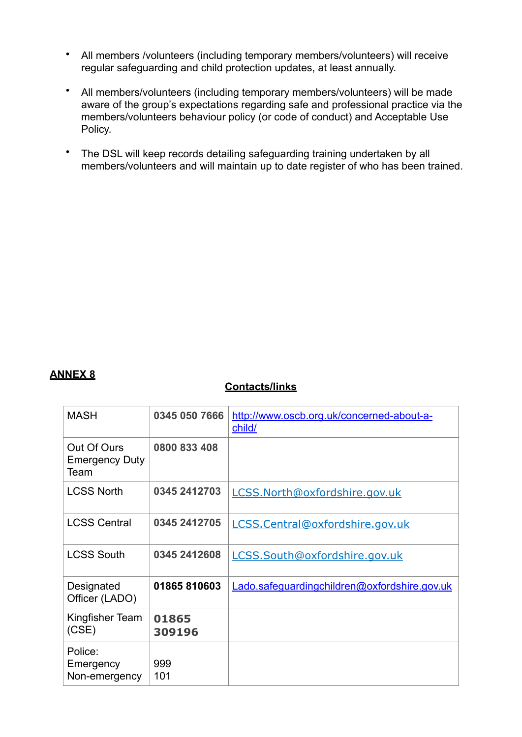- All members /volunteers (including temporary members/volunteers) will receive regular safeguarding and child protection updates, at least annually.
- All members/volunteers (including temporary members/volunteers) will be made aware of the group's expectations regarding safe and professional practice via the members/volunteers behaviour policy (or code of conduct) and Acceptable Use Policy.
- The DSL will keep records detailing safeguarding training undertaken by all members/volunteers and will maintain up to date register of who has been trained.

## **ANNEX 8**

## **Contacts/links**

| <b>MASH</b>                                  | 0345 050 7666   | http://www.oscb.org.uk/concerned-about-a-<br>child/ |
|----------------------------------------------|-----------------|-----------------------------------------------------|
| Out Of Ours<br><b>Emergency Duty</b><br>Team | 0800 833 408    |                                                     |
| <b>LCSS North</b>                            | 0345 2412703    | LCSS.North@oxfordshire.gov.uk                       |
| <b>LCSS Central</b>                          | 0345 2412705    | LCSS.Central@oxfordshire.gov.uk                     |
| <b>LCSS South</b>                            | 0345 2412608    | LCSS.South@oxfordshire.gov.uk                       |
| Designated<br>Officer (LADO)                 | 01865810603     | Lado.safeguardingchildren@oxfordshire.gov.uk        |
| Kingfisher Team<br>(CSE)                     | 01865<br>309196 |                                                     |
| Police:<br>Emergency<br>Non-emergency        | 999<br>101      |                                                     |